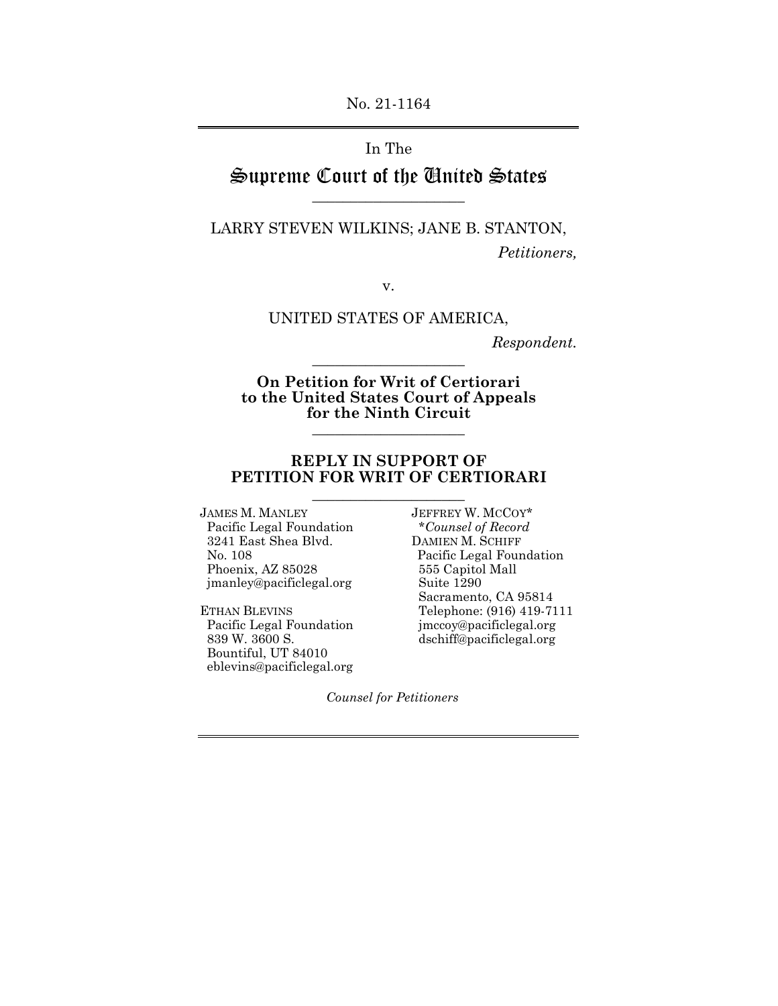No. 21-1164

## In The

# Supreme Court of the United States \_\_\_\_\_\_\_\_\_\_\_\_\_\_\_\_\_\_\_\_

LARRY STEVEN WILKINS; JANE B. STANTON,

*Petitioners,* 

v.

UNITED STATES OF AMERICA,

*Respondent.* 

**On Petition for Writ of Certiorari to the United States Court of Appeals for the Ninth Circuit** \_\_\_\_\_\_\_\_\_\_\_\_\_\_\_\_\_\_\_\_

\_\_\_\_\_\_\_\_\_\_\_\_\_\_\_\_\_\_\_\_

### **REPLY IN SUPPORT OF PETITION FOR WRIT OF CERTIORARI**  \_\_\_\_\_\_\_\_\_\_\_\_\_\_\_\_\_\_\_\_

JAMES M. MANLEY JEFFREY W. MCCOY\* Pacific Legal Foundation \**Counsel of Record*  3241 East Shea Blvd.<br>No. 108 Phoenix, AZ 85028 555 Capitol<br>
jmanley@pacificlegal.org Suite 1290  $\text{imahley}$ @pacificlegal.org

Pacific Legal Foundation *jmccoy@pacificlegal.org*<br>839 W. 3600 S. dschiff@pacificlegal.org Bountiful, UT 84010 eblevins@pacificlegal.org

Pacific Legal Foundation<br>555 Capitol Mall Sacramento, CA 95814 ETHAN BLEVINS<br>
Pacific Legal Foundation<br>
imccov@pacificlegal.org<br>
Telephone: (916) 419-7111 dschiff@pacificlegal.org

*Counsel for Petitioners*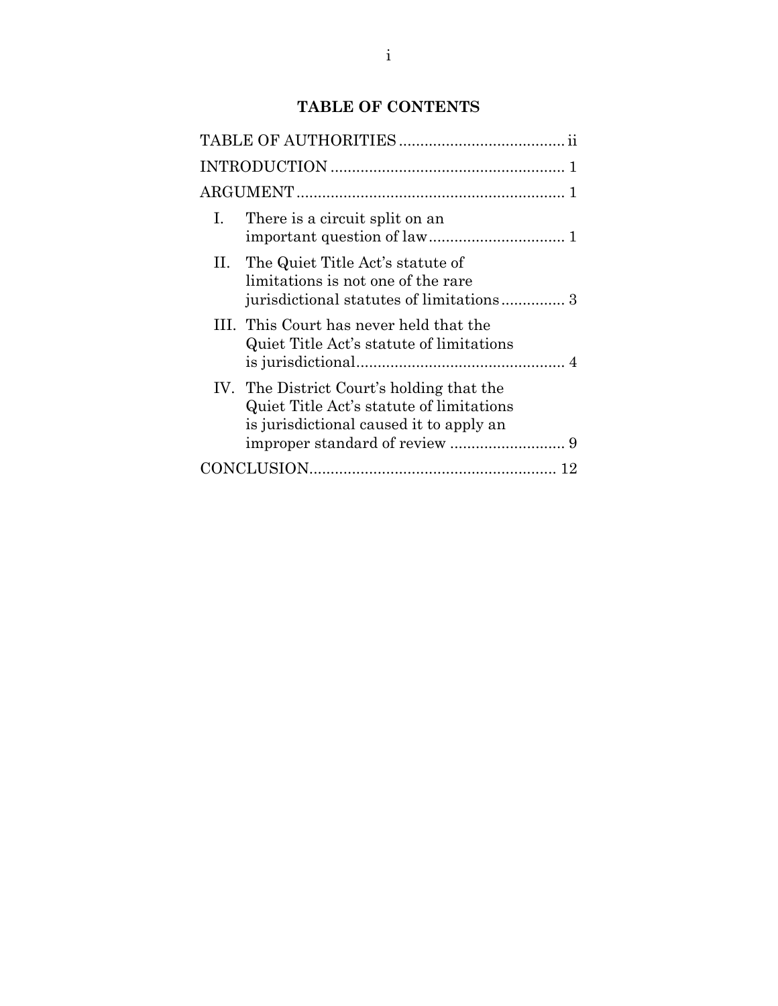# **TABLE OF CONTENTS**

| There is a circuit split on an<br>Ι.                                                                                             |  |  |  |  |  |
|----------------------------------------------------------------------------------------------------------------------------------|--|--|--|--|--|
| II. The Quiet Title Act's statute of<br>limitations is not one of the rare<br>jurisdictional statutes of limitations 3           |  |  |  |  |  |
| III. This Court has never held that the<br>Quiet Title Act's statute of limitations                                              |  |  |  |  |  |
| IV. The District Court's holding that the<br>Quiet Title Act's statute of limitations<br>is jurisdictional caused it to apply an |  |  |  |  |  |
|                                                                                                                                  |  |  |  |  |  |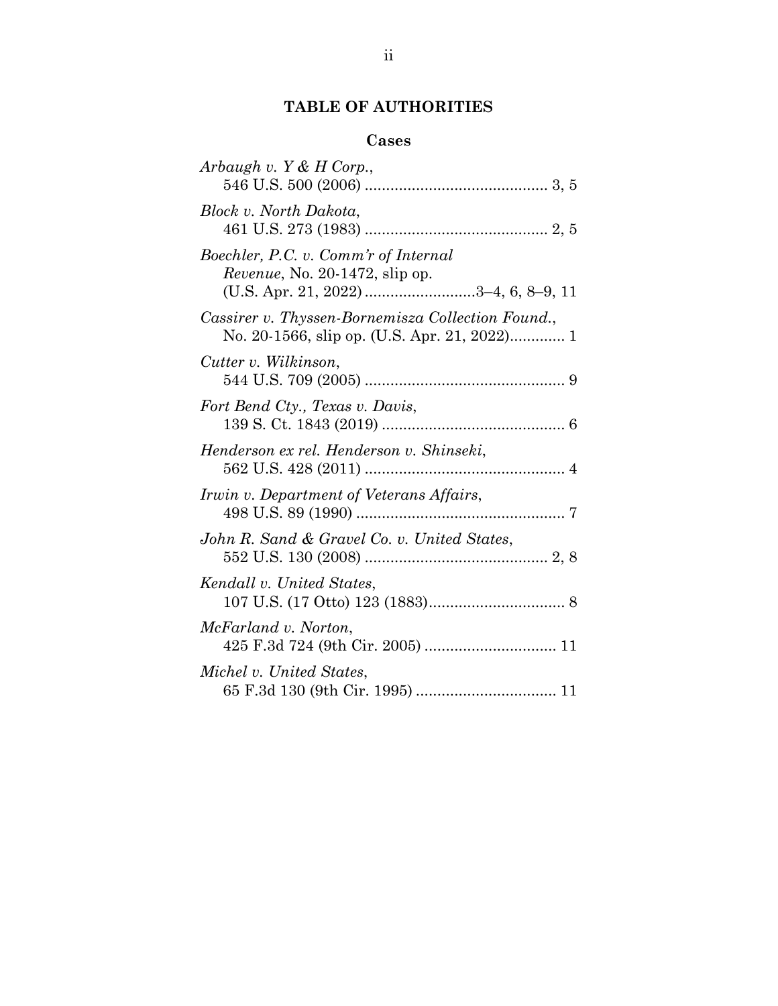# **TABLE OF AUTHORITIES**

## **Cases**

| Arbaugh v. Y & H Corp.,                                                                                        |
|----------------------------------------------------------------------------------------------------------------|
| Block v. North Dakota,                                                                                         |
| Boechler, P.C. v. Comm'r of Internal<br>Revenue, No. 20-1472, slip op.<br>(U.S. Apr. 21, 2022) 3-4, 6, 8-9, 11 |
| Cassirer v. Thyssen-Bornemisza Collection Found.,                                                              |
| Cutter v. Wilkinson,                                                                                           |
| Fort Bend Cty., Texas v. Davis,                                                                                |
| Henderson ex rel. Henderson v. Shinseki,                                                                       |
| Irwin v. Department of Veterans Affairs,                                                                       |
| John R. Sand & Gravel Co. v. United States,                                                                    |
| Kendall v. United States,                                                                                      |
| McFarland v. Norton,                                                                                           |
| Michel v. United States,                                                                                       |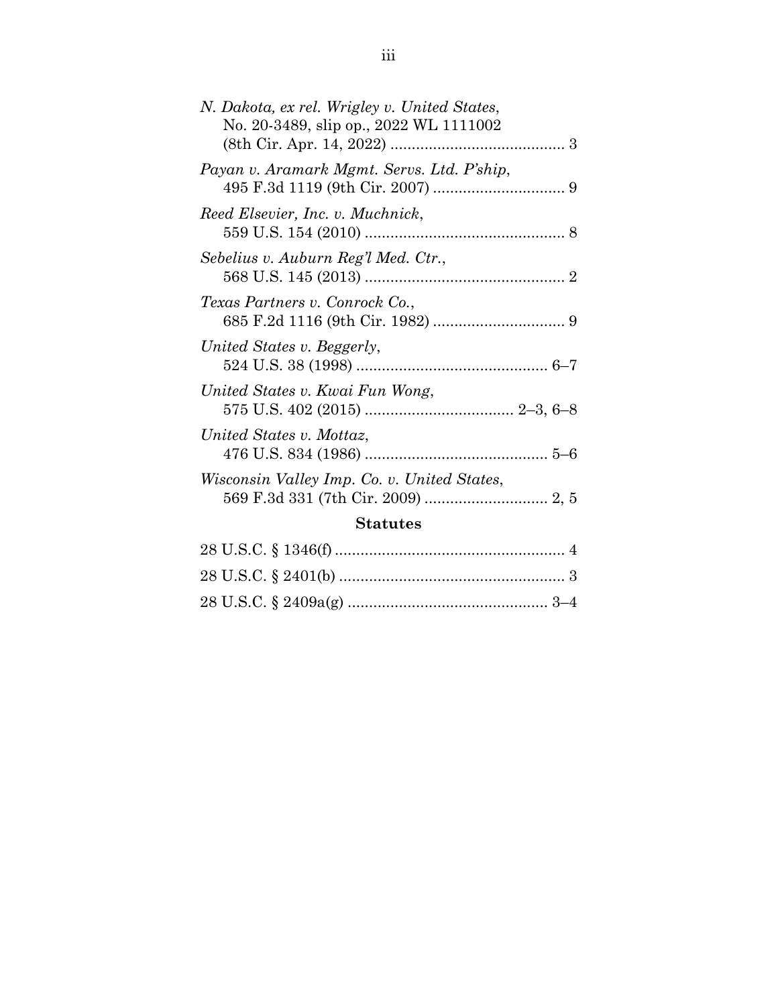| N. Dakota, ex rel. Wrigley v. United States,<br>No. 20-3489, slip op., 2022 WL 1111002 |  |  |  |  |  |
|----------------------------------------------------------------------------------------|--|--|--|--|--|
| Payan v. Aramark Mgmt. Servs. Ltd. P'ship,                                             |  |  |  |  |  |
| Reed Elsevier, Inc. v. Muchnick,                                                       |  |  |  |  |  |
| Sebelius v. Auburn Reg'l Med. Ctr.,                                                    |  |  |  |  |  |
| Texas Partners v. Conrock Co.,                                                         |  |  |  |  |  |
| United States v. Beggerly,                                                             |  |  |  |  |  |
| United States v. Kwai Fun Wong,                                                        |  |  |  |  |  |
| United States v. Mottaz,                                                               |  |  |  |  |  |
| Wisconsin Valley Imp. Co. v. United States,                                            |  |  |  |  |  |
| <b>Statutes</b>                                                                        |  |  |  |  |  |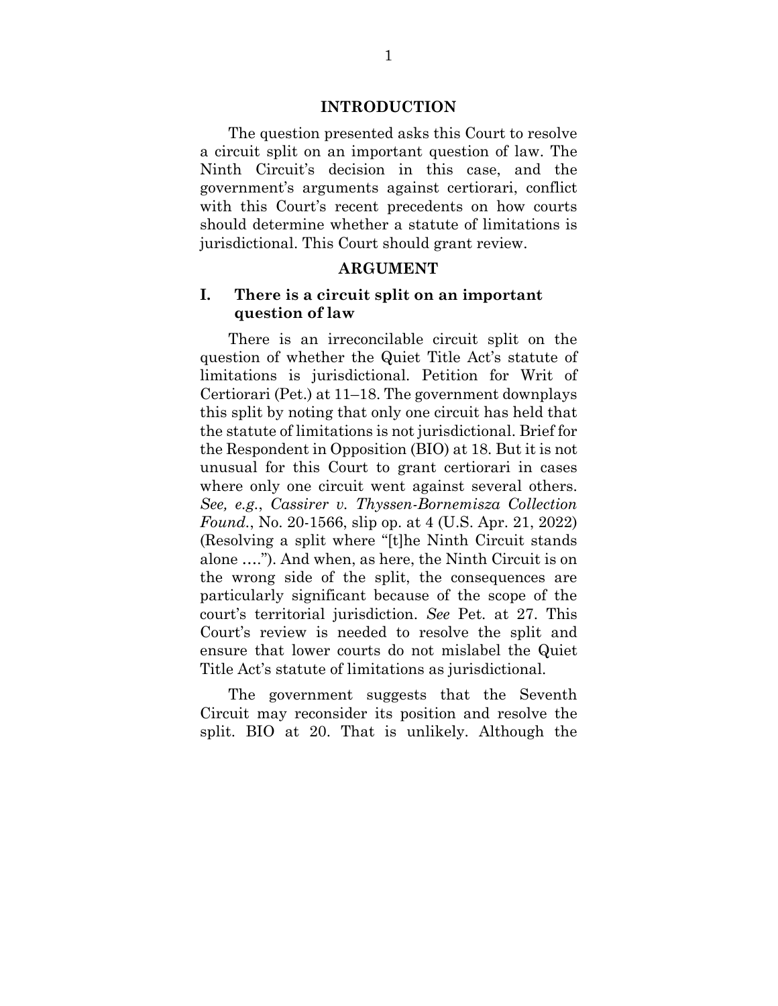### **INTRODUCTION**

The question presented asks this Court to resolve a circuit split on an important question of law. The Ninth Circuit's decision in this case, and the government's arguments against certiorari, conflict with this Court's recent precedents on how courts should determine whether a statute of limitations is jurisdictional. This Court should grant review.

#### **ARGUMENT**

## **I. There is a circuit split on an important question of law**

There is an irreconcilable circuit split on the question of whether the Quiet Title Act's statute of limitations is jurisdictional. Petition for Writ of Certiorari (Pet.) at 11–18. The government downplays this split by noting that only one circuit has held that the statute of limitations is not jurisdictional. Brief for the Respondent in Opposition (BIO) at 18. But it is not unusual for this Court to grant certiorari in cases where only one circuit went against several others. *See, e.g.*, *Cassirer v. Thyssen-Bornemisza Collection Found.*, No. 20-1566, slip op. at 4 (U.S. Apr. 21, 2022) (Resolving a split where "[t]he Ninth Circuit stands alone …."). And when, as here, the Ninth Circuit is on the wrong side of the split, the consequences are particularly significant because of the scope of the court's territorial jurisdiction. *See* Pet. at 27. This Court's review is needed to resolve the split and ensure that lower courts do not mislabel the Quiet Title Act's statute of limitations as jurisdictional.

The government suggests that the Seventh Circuit may reconsider its position and resolve the split. BIO at 20. That is unlikely. Although the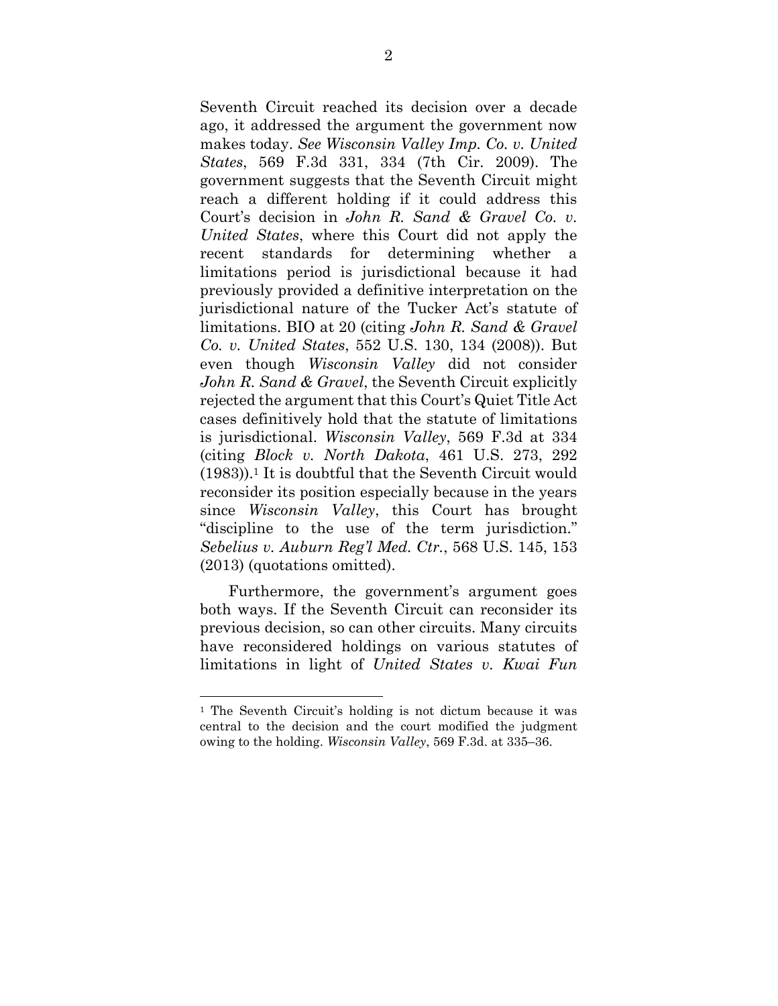Seventh Circuit reached its decision over a decade ago, it addressed the argument the government now makes today. *See Wisconsin Valley Imp. Co. v. United States*, 569 F.3d 331, 334 (7th Cir. 2009). The government suggests that the Seventh Circuit might reach a different holding if it could address this Court's decision in *John R. Sand & Gravel Co. v. United States*, where this Court did not apply the recent standards for determining whether a limitations period is jurisdictional because it had previously provided a definitive interpretation on the jurisdictional nature of the Tucker Act's statute of limitations. BIO at 20 (citing *John R. Sand & Gravel Co. v. United States*, 552 U.S. 130, 134 (2008)). But even though *Wisconsin Valley* did not consider *John R. Sand & Gravel*, the Seventh Circuit explicitly rejected the argument that this Court's Quiet Title Act cases definitively hold that the statute of limitations is jurisdictional. *Wisconsin Valley*, 569 F.3d at 334 (citing *Block v. North Dakota*, 461 U.S. 273, 292  $(1983)$ .<sup>1</sup> It is doubtful that the Seventh Circuit would reconsider its position especially because in the years since *Wisconsin Valley*, this Court has brought "discipline to the use of the term jurisdiction." *Sebelius v. Auburn Reg'l Med. Ctr.*, 568 U.S. 145, 153 (2013) (quotations omitted).

Furthermore, the government's argument goes both ways. If the Seventh Circuit can reconsider its previous decision, so can other circuits. Many circuits have reconsidered holdings on various statutes of limitations in light of *United States v. Kwai Fun* 

<sup>1</sup> The Seventh Circuit's holding is not dictum because it was central to the decision and the court modified the judgment owing to the holding. *Wisconsin Valley*, 569 F.3d. at 335–36.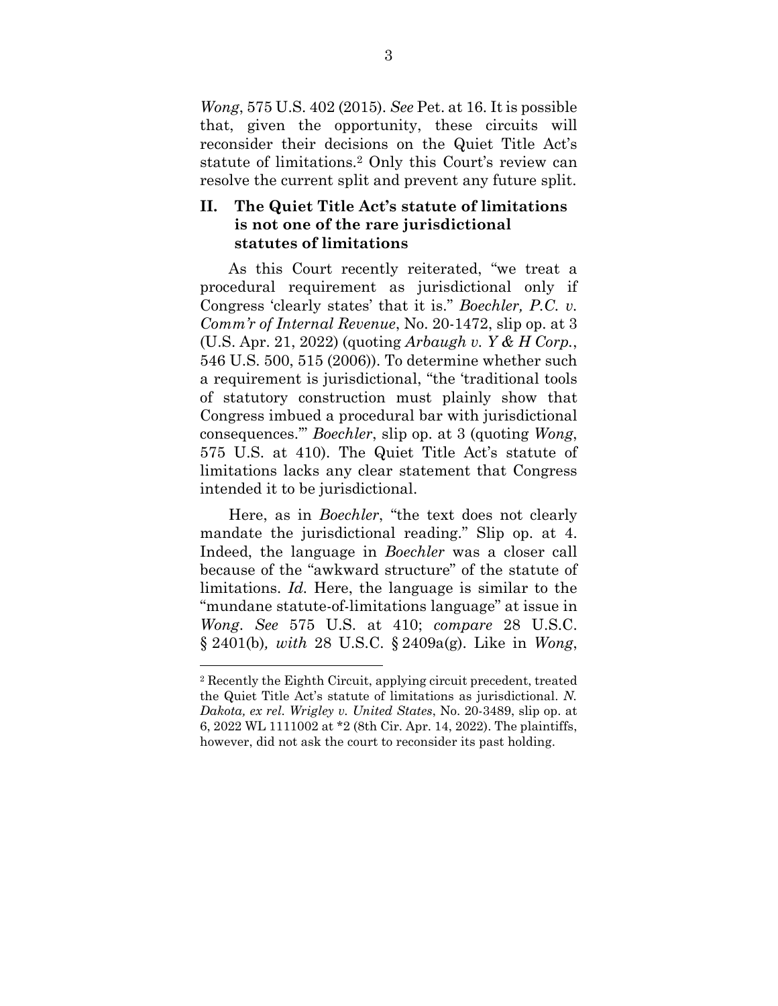*Wong*, 575 U.S. 402 (2015). *See* Pet. at 16. It is possible that, given the opportunity, these circuits will reconsider their decisions on the Quiet Title Act's statute of limitations.2 Only this Court's review can resolve the current split and prevent any future split.

## **II. The Quiet Title Act's statute of limitations is not one of the rare jurisdictional statutes of limitations**

As this Court recently reiterated, "we treat a procedural requirement as jurisdictional only if Congress 'clearly states' that it is." *Boechler, P.C. v. Comm'r of Internal Revenue*, No. 20-1472, slip op. at 3 (U.S. Apr. 21, 2022) (quoting *Arbaugh v. Y & H Corp.*, 546 U.S. 500, 515 (2006)). To determine whether such a requirement is jurisdictional, "the 'traditional tools of statutory construction must plainly show that Congress imbued a procedural bar with jurisdictional consequences.'" *Boechler*, slip op. at 3 (quoting *Wong*, 575 U.S. at 410). The Quiet Title Act's statute of limitations lacks any clear statement that Congress intended it to be jurisdictional.

Here, as in *Boechler*, "the text does not clearly mandate the jurisdictional reading." Slip op. at 4. Indeed, the language in *Boechler* was a closer call because of the "awkward structure" of the statute of limitations. *Id.* Here, the language is similar to the "mundane statute-of-limitations language" at issue in *Wong*. *See* 575 U.S. at 410; *compare* 28 U.S.C. § 2401(b)*, with* 28 U.S.C. § 2409a(g). Like in *Wong*,

<sup>2</sup> Recently the Eighth Circuit, applying circuit precedent, treated the Quiet Title Act's statute of limitations as jurisdictional. *N. Dakota, ex rel. Wrigley v. United States*, No. 20-3489, slip op. at 6, 2022 WL 1111002 at \*2 (8th Cir. Apr. 14, 2022). The plaintiffs, however, did not ask the court to reconsider its past holding.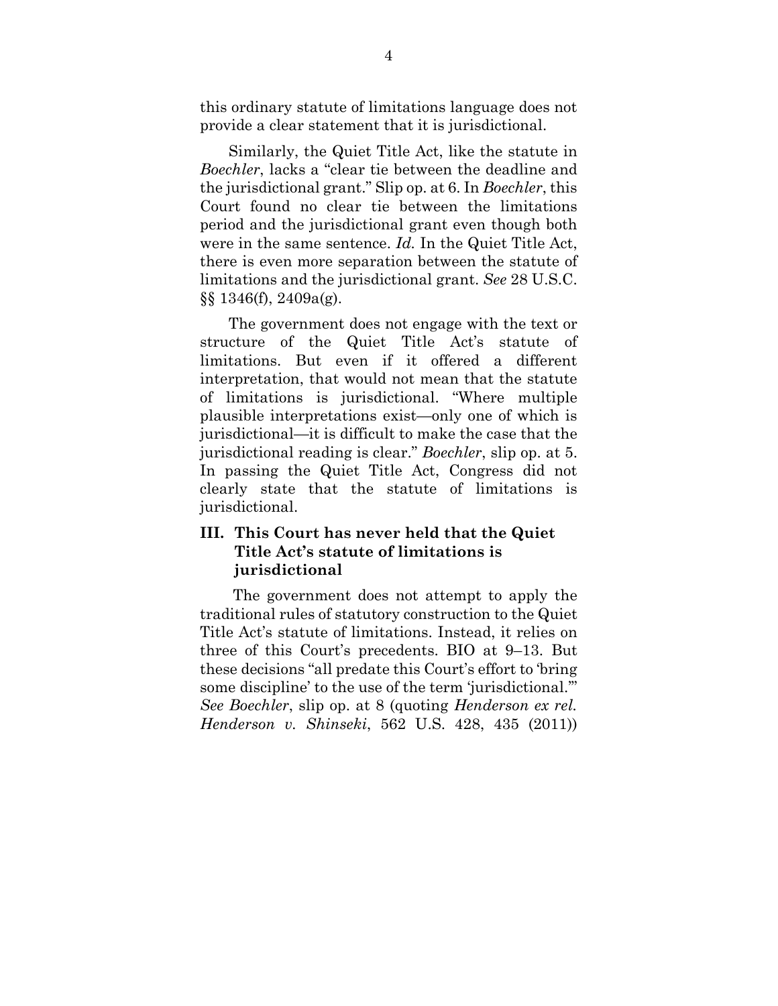this ordinary statute of limitations language does not provide a clear statement that it is jurisdictional.

Similarly, the Quiet Title Act, like the statute in *Boechler*, lacks a "clear tie between the deadline and the jurisdictional grant." Slip op. at 6. In *Boechler*, this Court found no clear tie between the limitations period and the jurisdictional grant even though both were in the same sentence. *Id.* In the Quiet Title Act, there is even more separation between the statute of limitations and the jurisdictional grant. *See* 28 U.S.C. §§ 1346(f), 2409a(g).

The government does not engage with the text or structure of the Quiet Title Act's statute of limitations. But even if it offered a different interpretation, that would not mean that the statute of limitations is jurisdictional. "Where multiple plausible interpretations exist—only one of which is jurisdictional—it is difficult to make the case that the jurisdictional reading is clear." *Boechler*, slip op. at 5. In passing the Quiet Title Act, Congress did not clearly state that the statute of limitations is jurisdictional.

## **III. This Court has never held that the Quiet Title Act's statute of limitations is jurisdictional**

 The government does not attempt to apply the traditional rules of statutory construction to the Quiet Title Act's statute of limitations. Instead, it relies on three of this Court's precedents. BIO at 9–13. But these decisions "all predate this Court's effort to 'bring some discipline' to the use of the term 'jurisdictional.'" *See Boechler*, slip op. at 8 (quoting *Henderson ex rel. Henderson v. Shinseki*, 562 U.S. 428, 435 (2011))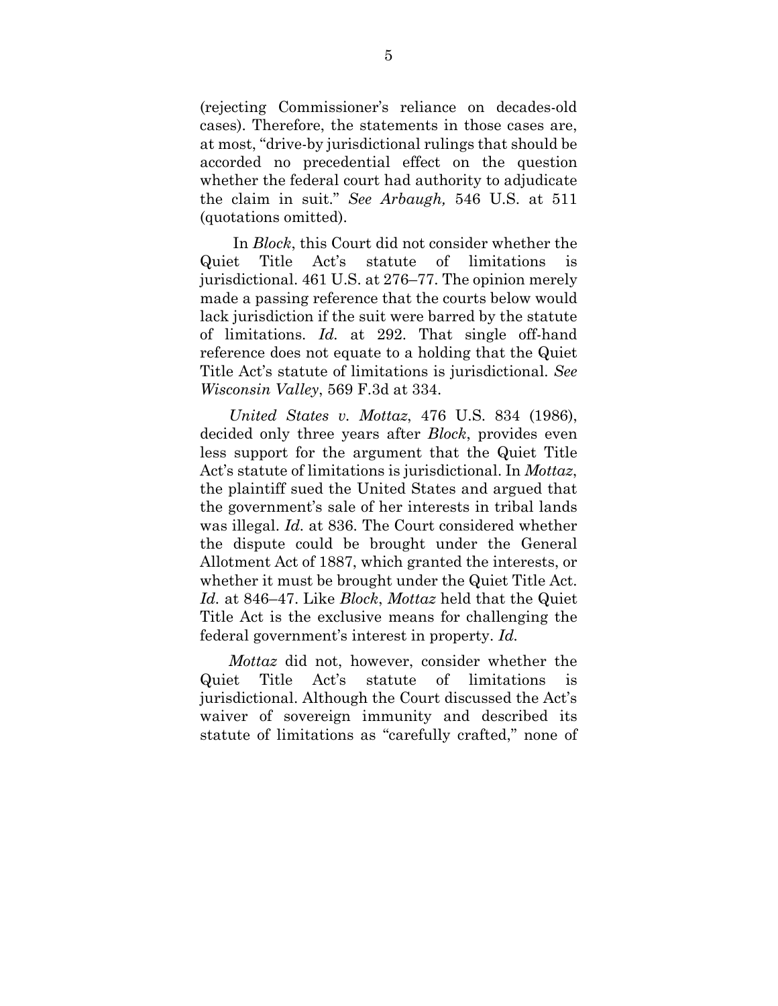(rejecting Commissioner's reliance on decades-old cases). Therefore, the statements in those cases are, at most, "drive-by jurisdictional rulings that should be accorded no precedential effect on the question whether the federal court had authority to adjudicate the claim in suit." *See Arbaugh,* 546 U.S. at 511 (quotations omitted).

 In *Block*, this Court did not consider whether the Quiet Title Act's statute of limitations is jurisdictional. 461 U.S. at 276–77. The opinion merely made a passing reference that the courts below would lack jurisdiction if the suit were barred by the statute of limitations. *Id.* at 292. That single off-hand reference does not equate to a holding that the Quiet Title Act's statute of limitations is jurisdictional. *See Wisconsin Valley*, 569 F.3d at 334.

*United States v. Mottaz*, 476 U.S. 834 (1986), decided only three years after *Block*, provides even less support for the argument that the Quiet Title Act's statute of limitations is jurisdictional. In *Mottaz*, the plaintiff sued the United States and argued that the government's sale of her interests in tribal lands was illegal. *Id.* at 836. The Court considered whether the dispute could be brought under the General Allotment Act of 1887, which granted the interests, or whether it must be brought under the Quiet Title Act. *Id.* at 846–47. Like *Block*, *Mottaz* held that the Quiet Title Act is the exclusive means for challenging the federal government's interest in property. *Id.* 

*Mottaz* did not, however, consider whether the Quiet Title Act's statute of limitations jurisdictional. Although the Court discussed the Act's waiver of sovereign immunity and described its statute of limitations as "carefully crafted," none of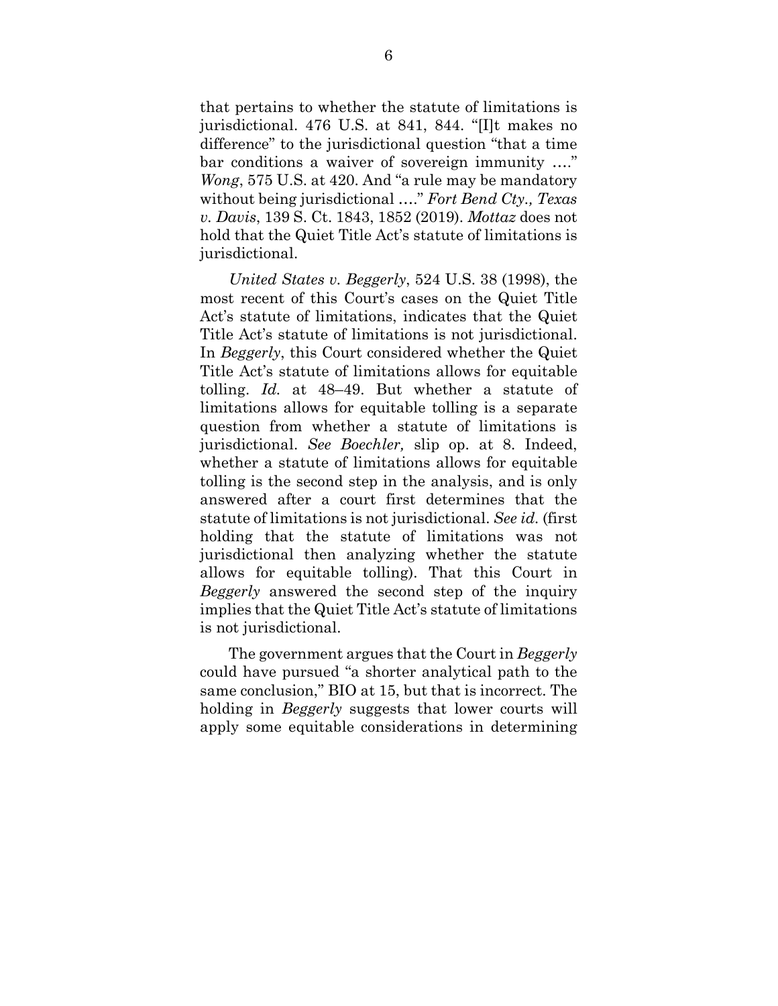that pertains to whether the statute of limitations is jurisdictional. 476 U.S. at 841, 844. "[I]t makes no difference" to the jurisdictional question "that a time bar conditions a waiver of sovereign immunity …." *Wong*, 575 U.S. at 420. And "a rule may be mandatory without being jurisdictional …." *Fort Bend Cty., Texas v. Davis*, 139 S. Ct. 1843, 1852 (2019). *Mottaz* does not hold that the Quiet Title Act's statute of limitations is jurisdictional.

*United States v. Beggerly*, 524 U.S. 38 (1998), the most recent of this Court's cases on the Quiet Title Act's statute of limitations, indicates that the Quiet Title Act's statute of limitations is not jurisdictional. In *Beggerly*, this Court considered whether the Quiet Title Act's statute of limitations allows for equitable tolling. *Id.* at 48–49. But whether a statute of limitations allows for equitable tolling is a separate question from whether a statute of limitations is jurisdictional. *See Boechler,* slip op. at 8. Indeed, whether a statute of limitations allows for equitable tolling is the second step in the analysis, and is only answered after a court first determines that the statute of limitations is not jurisdictional. *See id.* (first holding that the statute of limitations was not jurisdictional then analyzing whether the statute allows for equitable tolling). That this Court in *Beggerly* answered the second step of the inquiry implies that the Quiet Title Act's statute of limitations is not jurisdictional.

The government argues that the Court in *Beggerly*  could have pursued "a shorter analytical path to the same conclusion," BIO at 15, but that is incorrect. The holding in *Beggerly* suggests that lower courts will apply some equitable considerations in determining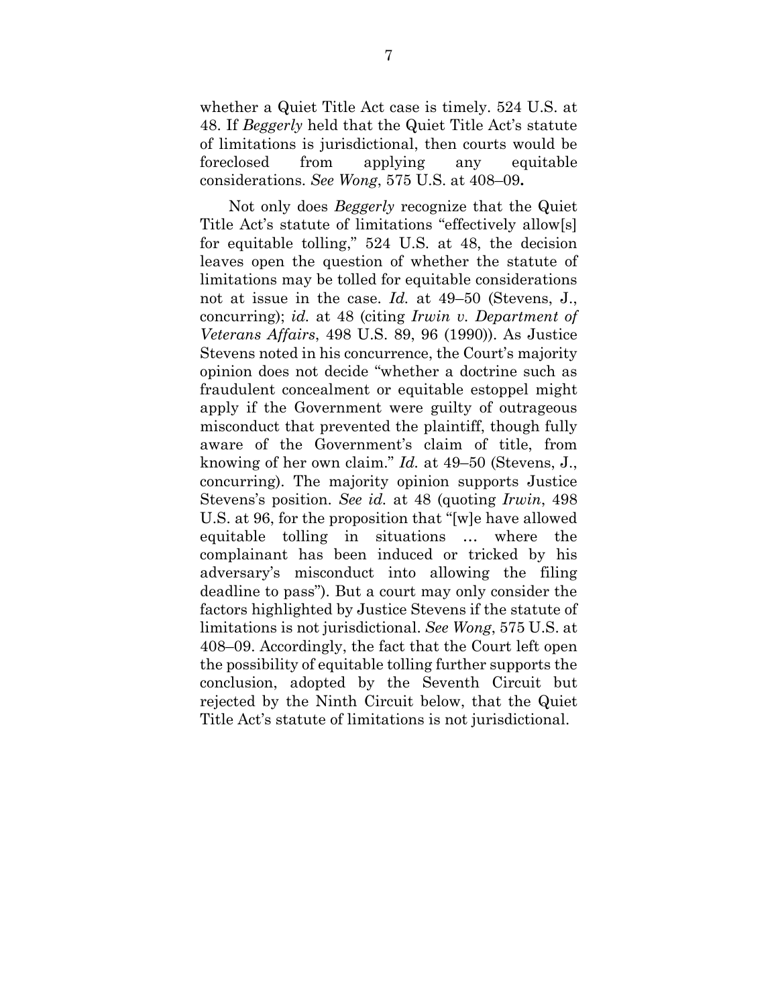whether a Quiet Title Act case is timely. 524 U.S. at 48. If *Beggerly* held that the Quiet Title Act's statute of limitations is jurisdictional, then courts would be foreclosed from applying any equitable considerations. *See Wong*, 575 U.S. at 408–09**.** 

Not only does *Beggerly* recognize that the Quiet Title Act's statute of limitations "effectively allow[s] for equitable tolling," 524 U.S. at 48, the decision leaves open the question of whether the statute of limitations may be tolled for equitable considerations not at issue in the case. *Id.* at 49–50 (Stevens, J., concurring); *id.* at 48 (citing *Irwin v. Department of Veterans Affairs*, 498 U.S. 89, 96 (1990)). As Justice Stevens noted in his concurrence, the Court's majority opinion does not decide "whether a doctrine such as fraudulent concealment or equitable estoppel might apply if the Government were guilty of outrageous misconduct that prevented the plaintiff, though fully aware of the Government's claim of title, from knowing of her own claim." *Id.* at 49–50 (Stevens, J., concurring). The majority opinion supports Justice Stevens's position. *See id.* at 48 (quoting *Irwin*, 498 U.S. at 96, for the proposition that "[w]e have allowed equitable tolling in situations … where the complainant has been induced or tricked by his adversary's misconduct into allowing the filing deadline to pass"). But a court may only consider the factors highlighted by Justice Stevens if the statute of limitations is not jurisdictional. *See Wong*, 575 U.S. at 408–09. Accordingly, the fact that the Court left open the possibility of equitable tolling further supports the conclusion, adopted by the Seventh Circuit but rejected by the Ninth Circuit below, that the Quiet Title Act's statute of limitations is not jurisdictional.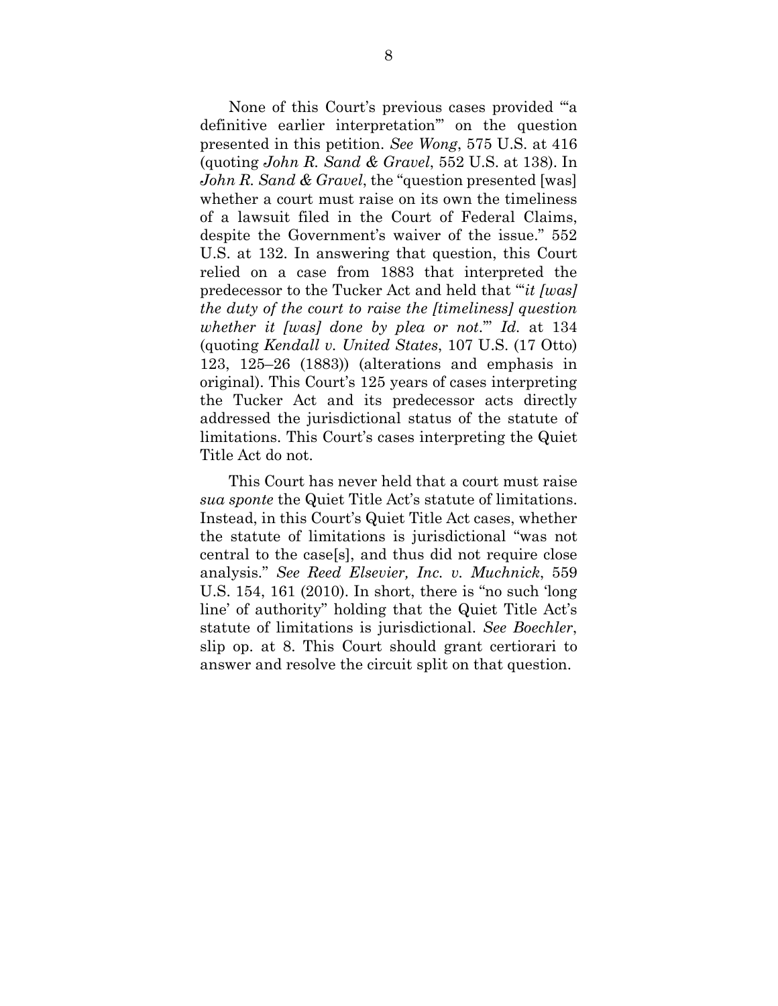None of this Court's previous cases provided "'a definitive earlier interpretation'" on the question presented in this petition. *See Wong*, 575 U.S. at 416 (quoting *John R. Sand & Gravel*, 552 U.S. at 138). In *John R. Sand & Gravel*, the "question presented [was] whether a court must raise on its own the timeliness of a lawsuit filed in the Court of Federal Claims, despite the Government's waiver of the issue." 552 U.S. at 132. In answering that question, this Court relied on a case from 1883 that interpreted the predecessor to the Tucker Act and held that "'*it [was] the duty of the court to raise the [timeliness] question whether it [was] done by plea or not*.'" *Id.* at 134 (quoting *Kendall v. United States*, 107 U.S. (17 Otto) 123, 125–26 (1883)) (alterations and emphasis in original). This Court's 125 years of cases interpreting the Tucker Act and its predecessor acts directly addressed the jurisdictional status of the statute of limitations. This Court's cases interpreting the Quiet Title Act do not.

This Court has never held that a court must raise *sua sponte* the Quiet Title Act's statute of limitations. Instead, in this Court's Quiet Title Act cases, whether the statute of limitations is jurisdictional "was not central to the case[s], and thus did not require close analysis." *See Reed Elsevier, Inc. v. Muchnick*, 559 U.S. 154, 161 (2010). In short, there is "no such 'long line' of authority" holding that the Quiet Title Act's statute of limitations is jurisdictional. *See Boechler*, slip op. at 8. This Court should grant certiorari to answer and resolve the circuit split on that question.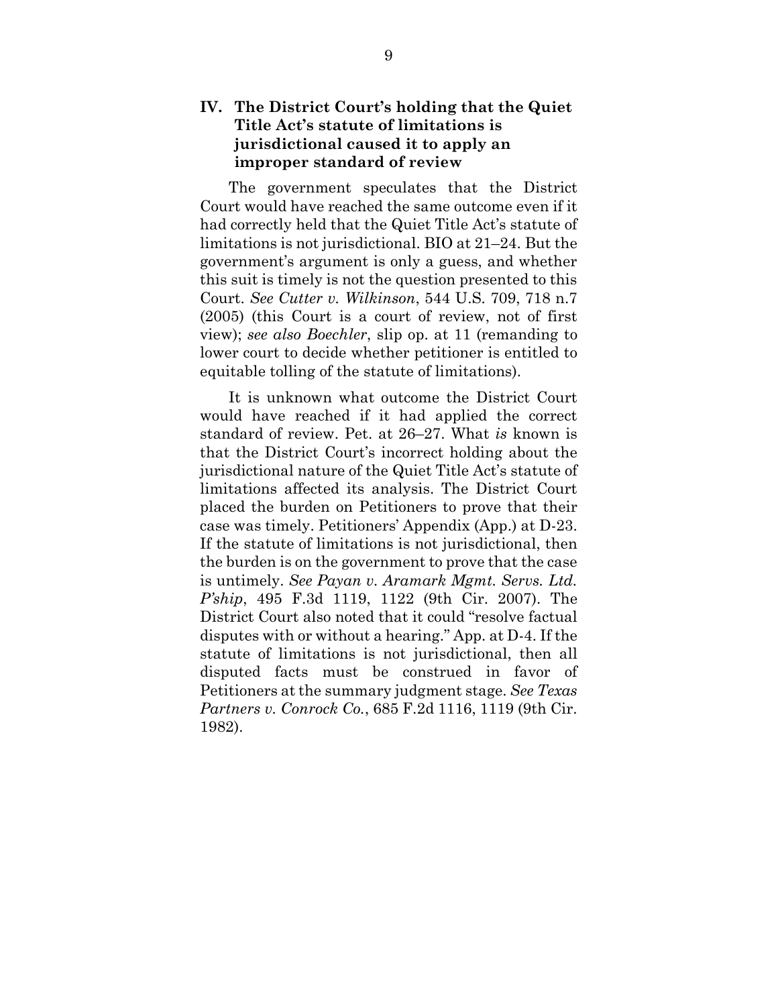## **IV. The District Court's holding that the Quiet Title Act's statute of limitations is jurisdictional caused it to apply an improper standard of review**

The government speculates that the District Court would have reached the same outcome even if it had correctly held that the Quiet Title Act's statute of limitations is not jurisdictional. BIO at 21–24. But the government's argument is only a guess, and whether this suit is timely is not the question presented to this Court. *See Cutter v. Wilkinson*, 544 U.S. 709, 718 n.7 (2005) (this Court is a court of review, not of first view); *see also Boechler*, slip op. at 11 (remanding to lower court to decide whether petitioner is entitled to equitable tolling of the statute of limitations).

It is unknown what outcome the District Court would have reached if it had applied the correct standard of review. Pet. at 26–27. What *is* known is that the District Court's incorrect holding about the jurisdictional nature of the Quiet Title Act's statute of limitations affected its analysis. The District Court placed the burden on Petitioners to prove that their case was timely. Petitioners' Appendix (App.) at D-23. If the statute of limitations is not jurisdictional, then the burden is on the government to prove that the case is untimely. *See Payan v. Aramark Mgmt. Servs. Ltd. P'ship*, 495 F.3d 1119, 1122 (9th Cir. 2007). The District Court also noted that it could "resolve factual disputes with or without a hearing." App. at D-4. If the statute of limitations is not jurisdictional, then all disputed facts must be construed in favor of Petitioners at the summary judgment stage. *See Texas Partners v. Conrock Co.*, 685 F.2d 1116, 1119 (9th Cir. 1982).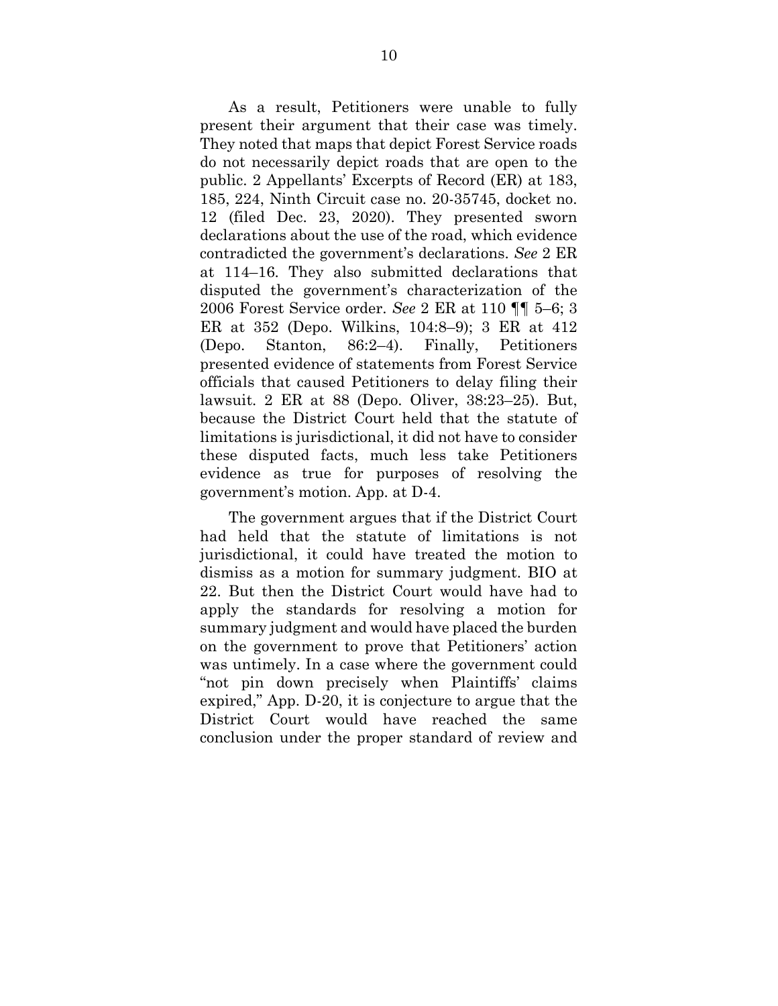As a result, Petitioners were unable to fully present their argument that their case was timely. They noted that maps that depict Forest Service roads do not necessarily depict roads that are open to the public. 2 Appellants' Excerpts of Record (ER) at 183, 185, 224, Ninth Circuit case no. 20-35745, docket no. 12 (filed Dec. 23, 2020). They presented sworn declarations about the use of the road, which evidence contradicted the government's declarations. *See* 2 ER at 114–16. They also submitted declarations that disputed the government's characterization of the 2006 Forest Service order. *See* 2 ER at 110 ¶¶ 5–6; 3 ER at 352 (Depo. Wilkins, 104:8–9); 3 ER at 412 (Depo. Stanton, 86:2–4). Finally, Petitioners presented evidence of statements from Forest Service officials that caused Petitioners to delay filing their lawsuit. 2 ER at 88 (Depo. Oliver, 38:23–25). But, because the District Court held that the statute of limitations is jurisdictional, it did not have to consider these disputed facts, much less take Petitioners evidence as true for purposes of resolving the government's motion. App. at D-4.

The government argues that if the District Court had held that the statute of limitations is not jurisdictional, it could have treated the motion to dismiss as a motion for summary judgment. BIO at 22. But then the District Court would have had to apply the standards for resolving a motion for summary judgment and would have placed the burden on the government to prove that Petitioners' action was untimely. In a case where the government could "not pin down precisely when Plaintiffs' claims expired," App. D-20, it is conjecture to argue that the District Court would have reached the same conclusion under the proper standard of review and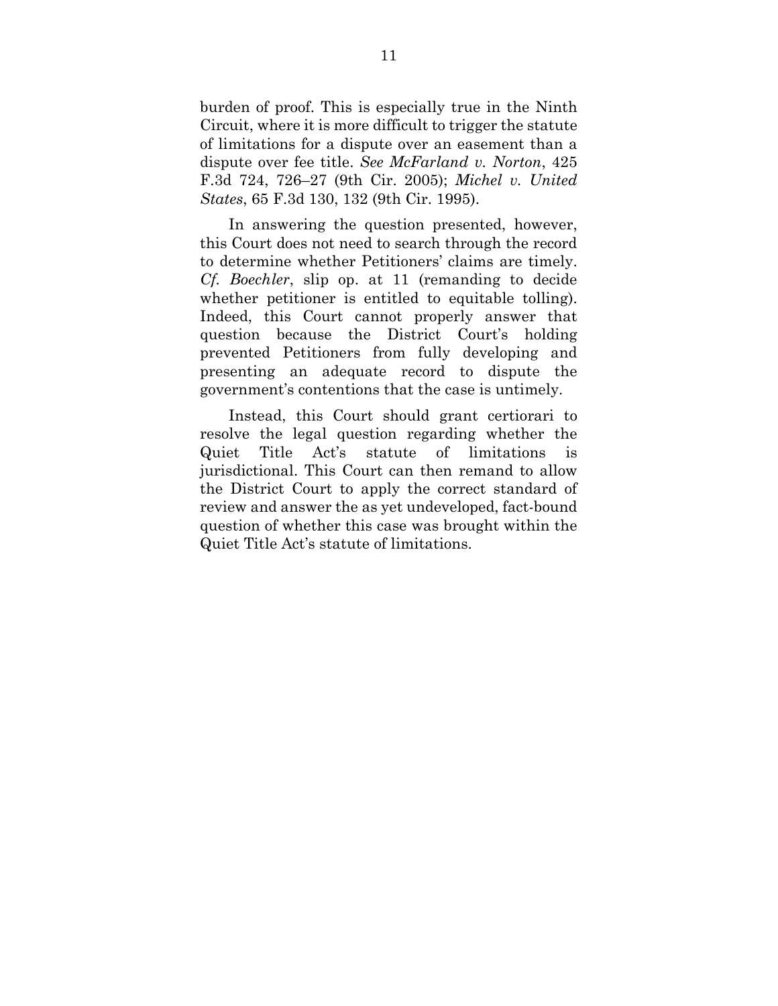burden of proof. This is especially true in the Ninth Circuit, where it is more difficult to trigger the statute of limitations for a dispute over an easement than a dispute over fee title. *See McFarland v. Norton*, 425 F.3d 724, 726–27 (9th Cir. 2005); *Michel v. United States*, 65 F.3d 130, 132 (9th Cir. 1995).

In answering the question presented, however, this Court does not need to search through the record to determine whether Petitioners' claims are timely. *Cf. Boechler*, slip op. at 11 (remanding to decide whether petitioner is entitled to equitable tolling). Indeed, this Court cannot properly answer that question because the District Court's holding prevented Petitioners from fully developing and presenting an adequate record to dispute the government's contentions that the case is untimely.

Instead, this Court should grant certiorari to resolve the legal question regarding whether the Quiet Title Act's statute of limitations is jurisdictional. This Court can then remand to allow the District Court to apply the correct standard of review and answer the as yet undeveloped, fact-bound question of whether this case was brought within the Quiet Title Act's statute of limitations.